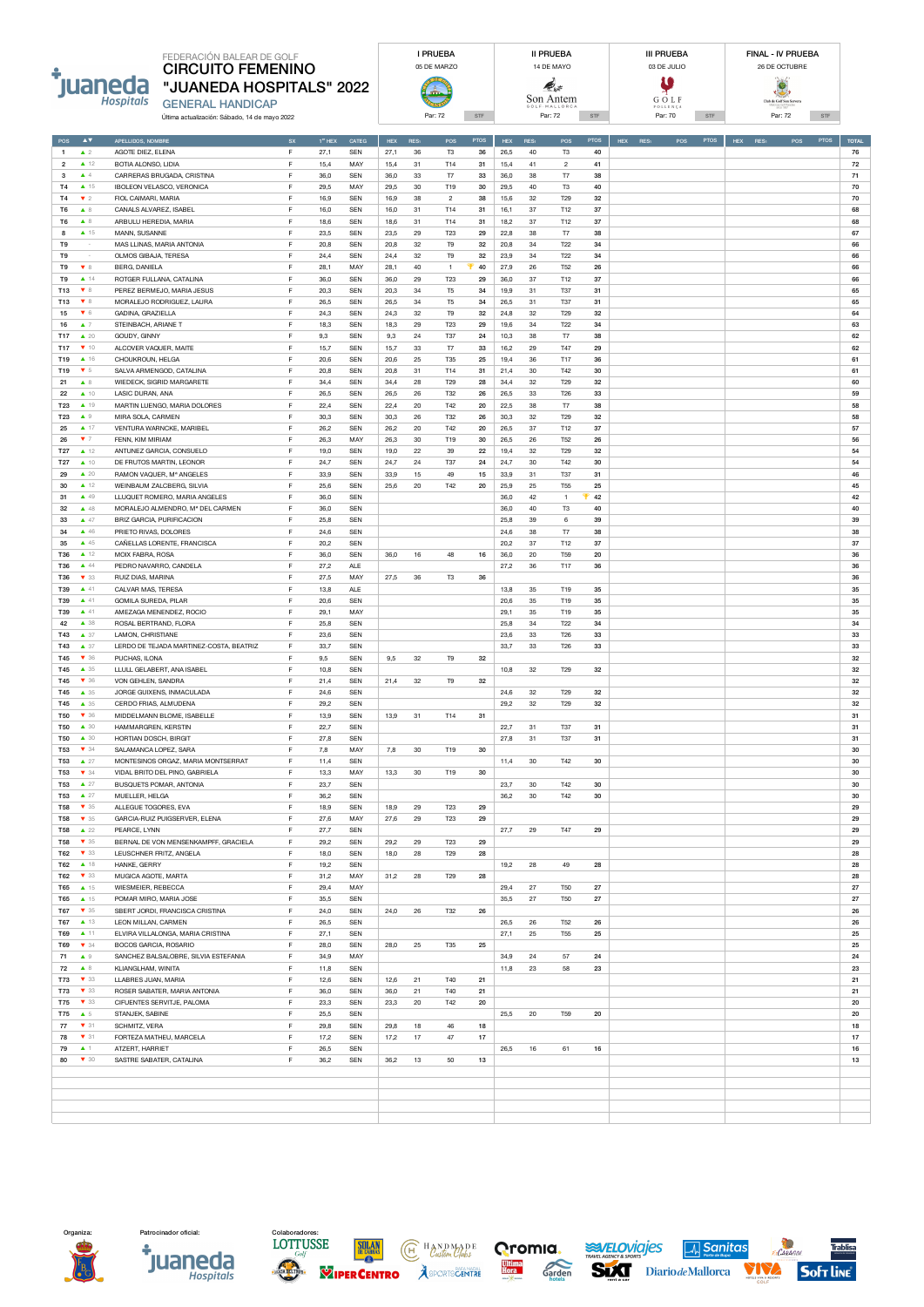

## FEDERACIÓN BALEAR DE GOLF CIRCUITO FEMENINO "JUANEDA HOSPITALS" 2022 **FJUANEDA HOSP**<br>Hospitals GENERAL HANDICAP

Última actualización: Sábado, 14 de mayo 2022 Par: 72 STF



| <b>I PRUEBA</b>                                                                                                                                                                                                                                               | <b>II PRUEBA</b>                                                     | <b>III PRUEBA</b>                            | <b>FINAL - IV PRUEBA</b>                                    |
|---------------------------------------------------------------------------------------------------------------------------------------------------------------------------------------------------------------------------------------------------------------|----------------------------------------------------------------------|----------------------------------------------|-------------------------------------------------------------|
| 05 DF MARZO                                                                                                                                                                                                                                                   | 14 DF MAYO                                                           | 03 DE JULIO                                  | 26 DE OCTUBBE                                               |
| <b>The Contract of the Contract of the Contract of the Contract of the Contract of the Contract of the Contract of the Contract of the Contract of the Contract of the Contract of the Contract of the Contract of the Contract </b><br>Par: 72<br><b>STF</b> | <b>Report</b><br>Son Antem<br>GOLF-MALLORCA<br><b>STF</b><br>Par: 72 | G O L F<br>POLLENCA<br>Par: 70<br><b>STF</b> | Club de Galf Sun Servero<br>Malorcas Got Panados<br>Par: 72 |





| POS                      | $\blacktriangle\blacktriangledown$         | APELLIDOS, NOMBRE                       | SX               | $1^{\rm cr}$ HEX | CATEG      | HEX  | RES <sub>1</sub> | POS             | <b>PTOS</b> | <b>HEX</b> | RES <sub>1</sub> | POS                     | <b>PTOS</b> | $HEX$ RES <sub>1</sub><br>POS<br><b>PTOS</b> | $HEX$ $RES1$<br>POS<br><b>PTOS</b> | <b>TOTAL</b> |
|--------------------------|--------------------------------------------|-----------------------------------------|------------------|------------------|------------|------|------------------|-----------------|-------------|------------|------------------|-------------------------|-------------|----------------------------------------------|------------------------------------|--------------|
| $\mathbf{1}$             | $\triangle$ 2                              | AGOTE DIEZ, ELENA                       | F<br>F           | 27,1             | SEN        | 27,1 | 36               | T3              | 36          | 26,5       | 40               | T3                      | 40          |                                              |                                    | 76           |
| $\boldsymbol{2}$         | $\blacktriangle$ 12                        | BOTIA ALONSO, LIDIA                     |                  | 15,4             | MAY        | 15,4 | 31               | T14             | 31          | 15,4       | 41               | $\overline{\mathbf{c}}$ | 41          |                                              |                                    | 72           |
| 3                        | $\blacktriangle$ 4                         | CARRERAS BRUGADA, CRISTINA              | F                | 36,0             | SEN        | 36,0 | 33               | T7              | 33          | 36,0       | 38               | T7                      | 38          |                                              |                                    | 71           |
| T <sub>4</sub>           | $\blacktriangle$ 15                        | IBOLEON VELASCO, VERONICA               | F                | 29,5             | MAY        | 29,5 | 30               | T19             | 30          | 29,5       | 40               | T3                      | 40          |                                              |                                    | 70           |
| T4                       | 72                                         | FIOL CAIMARI, MARIA                     | F                | 16,9             | <b>SEN</b> | 16,9 | 38               | $\overline{c}$  | 38          | 15,6       | 32               | T <sub>29</sub>         | 32          |                                              |                                    | 70           |
| T6                       | $\blacktriangle$ 8                         | CANALS ALVAREZ, ISABEL                  | $\mathsf F$      | 16,0             | <b>SEN</b> | 16,0 | 31               | T14             | 31          | 16,1       | 37               | T12                     | 37          |                                              |                                    | 68           |
| T6                       | $\blacktriangle$ 8                         | ARBULU HEREDIA, MARIA                   | F                | 18,6             | <b>SEN</b> | 18,6 | 31               | T14             | 31          | 18,2       | 37               | T12                     | 37          |                                              |                                    | 68           |
| 8                        | $\blacktriangle$ 15                        | MANN, SUSANNE                           | F                | 23,5             | <b>SEN</b> | 23,5 | 29               | T <sub>23</sub> | 29          | 22,8       | 38               | T7                      | 38          |                                              |                                    | 67           |
| T9                       | $\sim$                                     | MAS LLINAS, MARIA ANTONIA               | F                | 20,8             | SEN        | 20,8 | $32\,$           | T9              | 32          | 20,8       | 34               | T22                     | 34          |                                              |                                    | 66           |
| T9                       | $\sim$                                     | OLMOS GIBAJA, TERESA                    | E                | 24,4             | <b>SEN</b> | 24,4 | 32               | T9              | 32          | 23,9       | 34               | T <sub>22</sub>         | 34          |                                              |                                    | 66           |
| T9                       | $\mathbf{v}$ 8                             | BERG, DANIELA                           | F                | 28,1             | MAY        | 28,1 | 40               | $\mathbf{1}$    | 40          | 27,9       | 26               | <b>T52</b>              | 26          |                                              |                                    | 66           |
| T9                       | $\triangle$ 14                             | ROTGER FULLANA, CATALINA                | E                | 36,0             | SEN        | 36,0 | 29               | T23             | 29          | 36,0       | 37               | T12                     | 37          |                                              |                                    | 66           |
| T13                      | $\blacktriangledown$ 8                     | PEREZ BERMEJO, MARIA JESUS              | F                | 20,3             | <b>SEN</b> | 20,3 | 34               | T <sub>5</sub>  | 34          | 19,9       | 31               | T37                     | 31          |                                              |                                    | 65           |
| T13                      | $\blacktriangledown$ 8                     | MORALEJO RODRIGUEZ, LAURA               | F                | 26.5             | <b>SEN</b> | 26,5 | 34               | T <sub>5</sub>  | 34          | 26,5       | 31               | T37                     | 31          |                                              |                                    | 65           |
| 15                       | $\Psi$ 6                                   | GADINA, GRAZIELLA                       | F                | 24.3             | <b>SEN</b> | 24,3 | 32               | T9              | 32          | 24,8       | 32               | T29                     | 32          |                                              |                                    | 64           |
| 16                       | $\blacktriangle$ 7                         | STEINBACH, ARIANE T                     | F                | 18.3             | <b>SEN</b> | 18,3 | 29               | T23             | 29          | 19.6       | 34               | T <sub>22</sub>         | 34          |                                              |                                    | 63           |
| T17                      | $\triangle$ 20                             | GOUDY, GINNY                            | F                | 9,3              | SEN        | 9,3  | 24               | T37             | 24          | 10,3       | 38               | T7                      | 38          |                                              |                                    | 62           |
| T17                      | 710                                        | ALCOVER VAQUER, MAITE                   | F                | 15,7             | <b>SEN</b> | 15,7 | 33               | T7              | 33          | 16,2       | 29               | T47                     | 29          |                                              |                                    | 62           |
| T19                      | ▲ 16                                       | CHOUKROUN, HELGA                        | F                | 20,6             | SEN        | 20,6 | 25               | T35             | 25          | 19,4       | 36               | T17                     | 36          |                                              |                                    | 61           |
|                          | $\blacktriangledown$ 5                     | SALVA ARMENGOD, CATALINA                | F                |                  |            |      | 31               | T14             | 31          |            |                  |                         | 30          |                                              |                                    | 61           |
| T19                      |                                            |                                         | F                | 20,8             | <b>SEN</b> | 20,8 |                  |                 |             | 21,4       | 30               | T42                     |             |                                              |                                    |              |
| 21                       | $\blacktriangle$ 8                         | WIEDECK, SIGRID MARGARETE               |                  | 34,4             | <b>SEN</b> | 34,4 | 28               | T <sub>29</sub> | 28          | 34,4       | 32               | T <sub>29</sub>         | 32          |                                              |                                    | 60           |
| 22                       | $\triangle$ 10                             | LASIC DURAN, ANA                        | $\mathsf F$      | 26,5             | <b>SEN</b> | 26,5 | 26               | T32             | 26          | 26,5       | 33               | T26                     | 33          |                                              |                                    | 59           |
| T <sub>23</sub>          | ▲ 19                                       | MARTIN LUENGO, MARIA DOLORES            | $\mathsf F$      | 22,4             | <b>SEN</b> | 22,4 | 20               | T42             | 20          | 22,5       | 38               | T7                      | 38          |                                              |                                    | 58           |
| T23                      | $\blacktriangle$ 9                         | MIRA SOLA, CARMEN                       | F                | 30,3             | <b>SEN</b> | 30,3 | 26               | T32             | 26          | 30,3       | 32               | T <sub>29</sub>         | 32          |                                              |                                    | 58           |
| 25                       | $\triangle$ 17                             | VENTURA WARNCKE, MARIBEL                | E                | 26,2             | <b>SEN</b> | 26,2 | 20               | T42             | 20          | 26,5       | 37               | T12                     | 37          |                                              |                                    | 57           |
| 26                       | 7                                          | FENN, KIM MIRIAM                        | F                | 26,3             | MAY        | 26,3 | 30               | T19             | 30          | 26,5       | 26               | <b>T52</b>              | 26          |                                              |                                    | 56           |
| T <sub>27</sub>          | $\triangle$ 12                             | ANTUNEZ GARCIA, CONSUELO                | E                | 19,0             | <b>SEN</b> | 19,0 | 22               | 39              | 22          | 19,4       | 32               | T <sub>29</sub>         | 32          |                                              |                                    | 54           |
| T27                      | $\blacktriangle$ 10                        | DE FRUTOS MARTIN, LEONOR                | E                | 24,7             | <b>SEN</b> | 24,7 | 24               | T37             | 24          | 24,7       | 30               | T42                     | 30          |                                              |                                    | 54           |
| 29                       | $\triangle$ 20                             | RAMON VAQUER, Mª ANGELES                | F                | 33.9             | <b>SEN</b> | 33.9 | 15               | 49              | 15          | 33,9       | 31               | <b>T37</b>              | 31          |                                              |                                    | 46           |
| 30                       | $\blacktriangle$ 12                        | WEINBAUM ZALCBERG, SILVIA               | F                | 25,6             | <b>SEN</b> | 25,6 | 20               | T42             | 20          | 25,9       | 25               | <b>T55</b>              | 25          |                                              |                                    | 45           |
| 31                       | $\blacktriangle$ 49                        | LLUQUET ROMERO, MARIA ANGELES           | F                | 36.0             | <b>SEN</b> |      |                  |                 |             | 36.0       | 42               | $\overline{1}$          | 42          |                                              |                                    | 42           |
| 32                       | $\blacktriangle$ 48                        | MORALEJO ALMENDRO, Mª DEL CARMEN        | F                | 36.0             | <b>SEN</b> |      |                  |                 |             | 36.0       | 40               | T <sub>3</sub>          | 40          |                                              |                                    | 40           |
| 33                       | $\blacktriangle$ 47                        | BRIZ GARCIA, PURIFICACION               | F                | 25,8             | SEN        |      |                  |                 |             | 25,8       | 39               | 6                       | 39          |                                              |                                    | 39           |
| 34                       | $\blacktriangle$ 46                        | PRIETO RIVAS, DOLORES                   | F                | 24,6             | SEN        |      |                  |                 |             | 24,6       | 38               | T7                      | 38          |                                              |                                    | 38           |
| 35                       | $\blacktriangle$ 45                        | CAÑELLAS LORENTE, FRANCISCA             | F                | 20,2             | <b>SEN</b> |      |                  |                 |             | 20,2       | 37               | T12                     | 37          |                                              |                                    | 37           |
| T36                      | $\blacktriangle$ 12                        | MOIX FABRA, ROSA                        | F                | 36,0             | <b>SEN</b> | 36,0 | 16               | 48              | 16          | 36,0       | 20               | <b>T59</b>              | 20          |                                              |                                    | 36           |
| T36                      | $\blacktriangle$ 44                        | PEDRO NAVARRO, CANDELA                  | F                | 27,2             | ALE        |      |                  |                 |             | 27,2       | 36               | T17                     | 36          |                                              |                                    | 36           |
| <b>T36</b>               | 733                                        | RUIZ DIAS, MARINA                       | F                | 27,5             | MAY        | 27,5 | 36               | T3              | 36          |            |                  |                         |             |                                              |                                    | 36           |
|                          |                                            |                                         |                  |                  |            |      |                  |                 |             |            |                  |                         |             |                                              |                                    |              |
| T39                      | $\blacktriangle$ 41<br>$\blacktriangle$ 41 | CALVAR MAS, TERESA                      | $\mathsf F$<br>E | 13,8             | ALE        |      |                  |                 |             | 13,8       | 35               | T19                     | 35          |                                              |                                    | 35           |
| T39                      |                                            | GOMILA SUREDA, PILAR                    |                  | 20,6             | <b>SEN</b> |      |                  |                 |             | 20,6       | 35               | T19                     | 35          |                                              |                                    | 35           |
| T39                      | $\blacktriangle$ 41                        | AMEZAGA MENENDEZ, ROCIO                 | E                | 29,1             | MAY        |      |                  |                 |             | 29,1       | 35               | T19                     | 35          |                                              |                                    | 35           |
| 42                       | ▲ 38                                       | ROSAL BERTRAND, FLORA                   | E                | 25,8             | SEN        |      |                  |                 |             | 25,8       | 34               | T22                     | 34          |                                              |                                    | 34           |
| T43                      | $\triangle$ 37                             | LAMON, CHRISTIANE                       | F                | 23,6             | <b>SEN</b> |      |                  |                 |             | 23,6       | 33               | <b>T26</b>              | 33          |                                              |                                    | 33           |
| T43                      | $\triangle$ 37                             | LERDO DE TEJADA MARTINEZ-COSTA, BEATRIZ | F                | 33.7             | <b>SEN</b> |      |                  |                 |             | 33,7       | 33               | <b>T26</b>              | 33          |                                              |                                    | 33           |
| T45                      | 736                                        | PUCHAS, ILONA                           | F                | 9.5              | <b>SEN</b> | 9.5  | 32               | T <sub>9</sub>  | 32          |            |                  |                         |             |                                              |                                    | 32           |
| T45                      | $\triangle$ 35                             | LLULL GELABERT, ANA ISABEL              | F                | 10,8             | <b>SEN</b> |      |                  |                 |             | 10,8       | 32               | T29                     | 32          |                                              |                                    | 32           |
| T45                      | 736                                        | VON GEHLEN, SANDRA                      | F                | 21,4             | <b>SEN</b> | 21,4 | 32               | T <sub>9</sub>  | 32          |            |                  |                         |             |                                              |                                    | 32           |
| T45                      | $\triangle$ 35                             | JORGE GUIXENS, INMACULADA               | F                | 24,6             | <b>SEN</b> |      |                  |                 |             | 24,6       | 32               | T29                     | 32          |                                              |                                    | 32           |
| T45                      | $\blacktriangle$ 35                        | CERDO FRIAS, ALMUDENA                   | F                | 29,2             | SEN        |      |                  |                 |             | 29,2       | 32               | T29                     | 32          |                                              |                                    | 32           |
| <b>T50</b>               | 736                                        | MIDDELMANN BLOME, ISABELLE              | F                | 13,9             | SEN        | 13,9 | 31               | T14             | 31          |            |                  |                         |             |                                              |                                    | 31           |
| <b>T50</b>               | $\triangle$ 30                             | HAMMARGREN, KERSTIN                     | F                | 22,7             | SEN        |      |                  |                 |             | 22,7       | 31               | T37                     | 31          |                                              |                                    | 31           |
| <b>T50</b>               | $\triangle$ 30                             | HORTIAN DOSCH, BIRGIT                   | F                | 27,8             | <b>SEN</b> |      |                  |                 |             | 27,8       | 31               | T37                     | 31          |                                              |                                    | 31           |
| T53                      | $\blacktriangledown$ 34                    | SALAMANCA LOPEZ, SARA                   | F                | 7,8              | MAY        | 7,8  | 30               | T19             | 30          |            |                  |                         |             |                                              |                                    | 30           |
| T53                      | $\triangle$ 27                             | MONTESINOS ORGAZ, MARIA MONTSERRAT      | F                | 11,4             | <b>SEN</b> |      |                  |                 |             | 11,4       | 30               | T42                     | 30          |                                              |                                    | 30           |
| <b>T53</b>               | $\blacktriangledown$ 34                    | VIDAL BRITO DEL PINO, GABRIELA          | F                | 13,3             | MAY        | 13,3 | 30               | T19             | 30          |            |                  |                         |             |                                              |                                    | 30           |
| <b>T53</b>               | $\triangle$ 27                             | BUSQUETS POMAR, ANTONIA                 | E                | 23,7             | <b>SEN</b> |      |                  |                 |             | 23,7       | 30               | T42                     | 30          |                                              |                                    | 30           |
| T53                      | $\triangle$ 27                             | MUELLER, HELGA                          | F                | 36,2             | <b>SEN</b> |      |                  |                 |             | 36,2       | 30               | T42                     | 30          |                                              |                                    | 30           |
| <b>T58</b>               | 735                                        |                                         | F                |                  | <b>SEN</b> |      | 29               | T <sub>23</sub> | 29          |            |                  |                         |             |                                              |                                    | 29           |
|                          | 735                                        | ALLEGUE TOGORES, EVA                    | E                | 18,9             | MAY        | 18,9 | 29               |                 |             |            |                  |                         |             |                                              |                                    | 29           |
| <b>T58</b><br><b>T58</b> | $\triangle$ 22                             | GARCIA-RUIZ PUIGSERVER, ELENA           | F                | 27,6             | SEN        | 27.6 |                  | T <sub>23</sub> | 29          |            | 29               | T47                     | 29          |                                              |                                    | 29           |
|                          |                                            | PEARCE, LYNN                            |                  | 27,7             |            |      |                  |                 |             | 27,7       |                  |                         |             |                                              |                                    |              |
| <b>T58</b>               | 735                                        | BERNAL DE VON MENSENKAMPFF, GRACIELA    | F                | 29.2             | <b>SEN</b> | 29.2 | 29               | T23             | 29          |            |                  |                         |             |                                              |                                    | 29           |
| T62                      | 733                                        | LEUSCHNER FRITZ, ANGELA                 | F                | 18.0             | SEN        | 18.0 | 28               | T29             | 28          |            |                  |                         |             |                                              |                                    | 28           |
| <b>T62</b>               | $\blacktriangle$ 18                        | HANKE, GERRY                            | F                | 19.2             | <b>SEN</b> |      |                  |                 |             | 19.2       | 28               | 49                      | 28          |                                              |                                    | 28           |
| T62                      | 733                                        | MUGICA AGOTE, MARTA                     | F                | 31,2             | MAY        | 31,2 | 28               | T <sub>29</sub> | 28          |            |                  |                         |             |                                              |                                    | 28           |
| <b>T65</b>               | ▲ 15                                       | WIESMEIER, REBECCA                      | F                | 29,4             | MAY        |      |                  |                 |             | 29,4       | 27               | <b>T50</b>              | 27          |                                              |                                    | 27           |
| <b>T65</b>               | $\blacktriangle$ 15                        | POMAR MIRO, MARIA JOSE                  | F                | 35,5             | <b>SEN</b> |      |                  |                 |             | 35,5       | 27               | <b>T50</b>              | 27          |                                              |                                    | 27           |
| <b>T67</b>               | 735                                        | SBERT JORDI, FRANCISCA CRISTINA         | F                | 24,0             | SEN        | 24,0 | 26               | T32             | 26          |            |                  |                         |             |                                              |                                    | 26           |
| T67                      | $\blacktriangle$ 13                        | LEON MILLAN, CARMEN                     | F                | 26,5             | SEN        |      |                  |                 |             | 26,5       | 26               | <b>T52</b>              | 26          |                                              |                                    | 26           |
| T69                      | $\blacktriangle$ 11                        | ELVIRA VILLALONGA, MARIA CRISTINA       | $\mathsf F$      | 27,1             | SEN        |      |                  |                 |             | 27,1       | 25               | <b>T55</b>              | 25          |                                              |                                    | 25           |
| T69                      | $\Psi$ 34                                  | BOCOS GARCIA, ROSARIO                   | $\mathsf F$      | 28,0             | SEN        | 28,0 | 25               | T35             | 25          |            |                  |                         |             |                                              |                                    | 25           |
| 71                       | $\triangle$ 9                              | SANCHEZ BALSALOBRE, SILVIA ESTEFANIA    | F                | 34,9             | MAY        |      |                  |                 |             | 34,9       | 24               | 57                      | 24          |                                              |                                    | 24           |
| ${\bf 72}$               | $\triangle$ 8                              | KLIANGLHAM, WINITA                      | E                | 11,8             | SEN        |      |                  |                 |             | 11,8       | 23               | 58                      | 23          |                                              |                                    | 23           |
| T73                      | $\mathbf{v}$ 33                            | LLABRES JUAN, MARIA                     | F                | 12,6             | SEN        | 12,6 | 21               | <b>T40</b>      | 21          |            |                  |                         |             |                                              |                                    | 21           |
| T73                      | $\blacktriangledown$ 33                    | ROSER SABATER, MARIA ANTONIA            | F                | 36,0             | SEN        | 36,0 | 21               | T40             | 21          |            |                  |                         |             |                                              |                                    | 21           |
| <b>T75</b>               | 733                                        | CIFUENTES SERVITJE, PALOMA              | F                | 23.3             | <b>SEN</b> | 23.3 | 20               | T42             | 20          |            |                  |                         |             |                                              |                                    | 20           |
| T75                      | $\triangle$ 5                              | STANJEK, SABINE                         | F                | 25.5             | <b>SEN</b> |      |                  |                 |             | 25.5       | 20               | <b>T59</b>              | 20          |                                              |                                    | 20           |
| 77                       | 731                                        | SCHMITZ, VERA                           | F                | 29.8             | SEN        | 29,8 | 18               | 46              | 18          |            |                  |                         |             |                                              |                                    | 18           |
| 78                       | 731                                        |                                         | F                | 17,2             | SEN        | 17,2 | 17               | 47              | 17          |            |                  |                         |             |                                              |                                    | 17           |
|                          |                                            | FORTEZA MATHEU, MARCELA                 |                  |                  |            |      |                  |                 |             |            |                  |                         |             |                                              |                                    |              |
| 79                       | $A$ 1                                      | ATZERT, HARRIET                         | F                | 26,5             | SEN        |      |                  |                 |             | 26,5       | 16               | 61                      | 16          |                                              |                                    | 16           |
| 80                       | 730                                        | SASTRE SABATER, CATALINA                | F                | 36,2             | SEN        | 36,2 | 13               | 50              | 13          |            |                  |                         |             |                                              |                                    | 13           |
|                          |                                            |                                         |                  |                  |            |      |                  |                 |             |            |                  |                         |             |                                              |                                    |              |
|                          |                                            |                                         |                  |                  |            |      |                  |                 |             |            |                  |                         |             |                                              |                                    |              |
|                          |                                            |                                         |                  |                  |            |      |                  |                 |             |            |                  |                         |             |                                              |                                    |              |
|                          |                                            |                                         |                  |                  |            |      |                  |                 |             |            |                  |                         |             |                                              |                                    |              |
|                          |                                            |                                         |                  |                  |            |      |                  |                 |             |            |                  |                         |             |                                              |                                    |              |
|                          |                                            |                                         |                  |                  |            |      |                  |                 |             |            |                  |                         |             |                                              |                                    |              |











**Trablisa**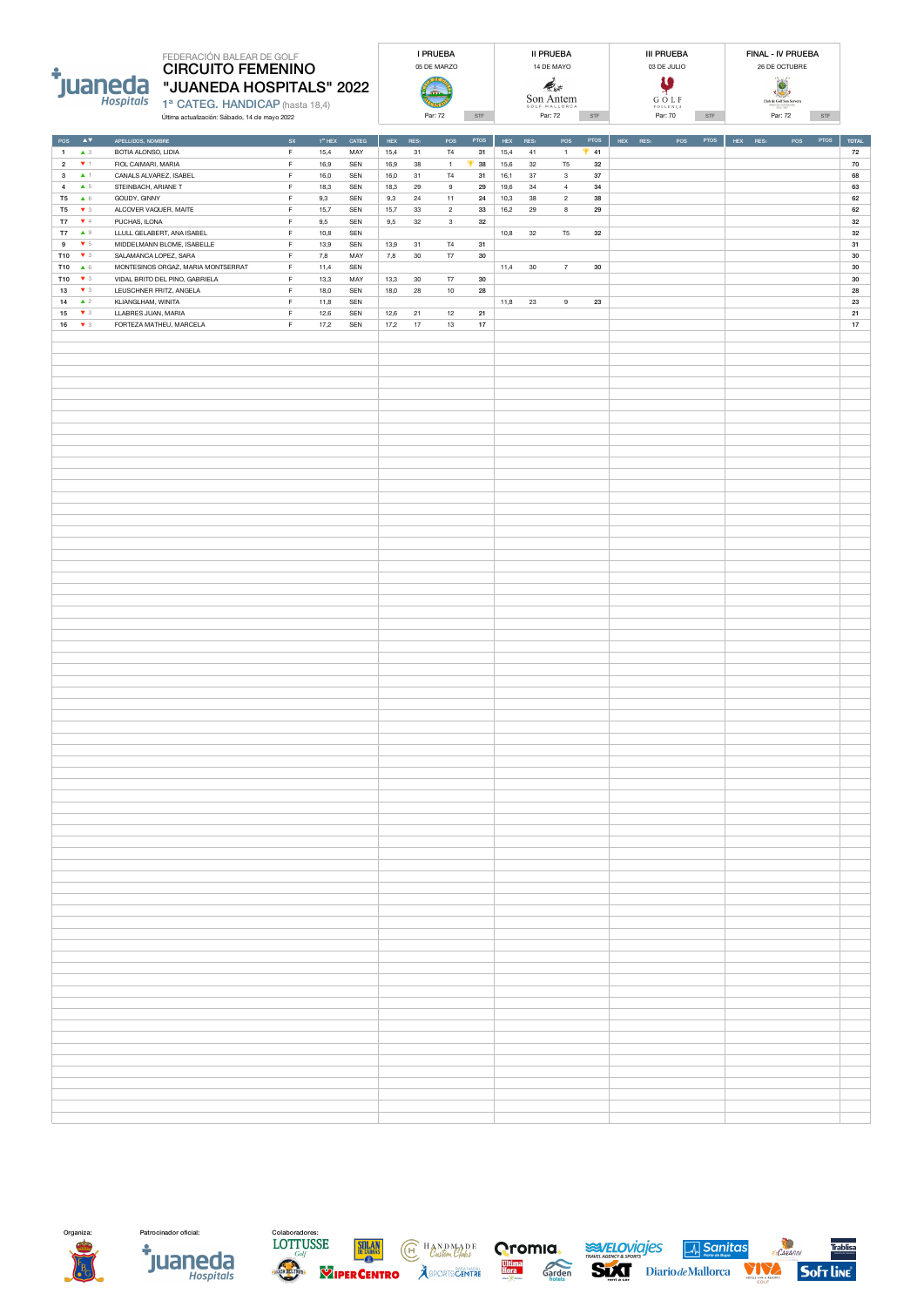

#### FEDERACIÓN BALEAR DE GOLF CIRCUITO FEMENINO "JUANEDA HOSPITALS" 2022 1ª CATEG. HANDICAP (hasta 18,4)

1 **CATL CATTAN DI CAT**T (Habita To<sub>1</sub>4)<br>Última actualización: Sábado, 14 de mayo 2022 Par: 72 Par: 72 Par: 72 Par: 72









|                                        |                                               |                                          |                   |                        |            |              |                  |                               |               |                        |                  |                               |                    |                             | POS PTOS |              |                    |                          |
|----------------------------------------|-----------------------------------------------|------------------------------------------|-------------------|------------------------|------------|--------------|------------------|-------------------------------|---------------|------------------------|------------------|-------------------------------|--------------------|-----------------------------|----------|--------------|--------------------|--------------------------|
|                                        | POS $\triangle$ $\blacktriangledown$          | APELLIDOS, NOMBRE<br>BOTIA ALONSO, LIDIA | sx<br>$\mathsf F$ | $1^{\prime\prime}$ HEX | CATEG      | HEX          | RES <sub>1</sub> | POS                           | PTOS          | $HEX$ RES <sub>1</sub> |                  | POS                           | <b>PTOS</b><br>T41 | $\text{HEX} = \text{RES}_1$ |          | $HEX = RES1$ | POS<br><b>PTOS</b> | <b>TOTAL</b>             |
| $\mathbf 1$<br>$\overline{\mathbf{2}}$ | $\blacktriangle$ 3<br>$\blacktriangledown$ 1. | FIOL CAIMARI, MARIA                      | F                 | 15,4<br>16,9           | MAY<br>SEN | 15,4<br>16,9 | $31\,$<br>38     | $\mathsf{T4}$<br>$\mathbf{1}$ | 31<br>Ŧ<br>38 | 15,4<br>15,6           | $41\,$<br>$32\,$ | $\mathbf{1}$<br>$\mathsf{T}5$ | 32                 |                             |          |              |                    | ${\bf 72}$<br>${\bf 70}$ |
| $\mathbf 3$                            | $\blacktriangle$ 1                            | CANALS ALVAREZ, ISABEL                   | $\mathsf F$       | 16,0                   | SEN        | 16,0         | $31\,$           | T4                            | 31            | 16,1                   | $37\,$           | $_{\rm 3}$                    | 37                 |                             |          |              |                    | 68                       |
| $\overline{4}$                         | $\blacktriangle$ 5                            | STEINBACH, ARIANE T                      | F                 | 18,3                   | SEN        | 18,3         | 29               | $\,9$                         | 29            | 19,6                   | 34               | $\overline{4}$                | 34                 |                             |          |              |                    | 63                       |
| T5                                     | $\blacktriangle$ 6                            | GOUDY, GINNY                             | F                 | 9,3                    | SEN        | 9,3          | 24               | $11$                          | ${\bf 24}$    | 10,3                   | $38\,$           | $\sqrt{2}$                    | 38                 |                             |          |              |                    | 62                       |
| T5                                     | $\blacktriangledown$ 3                        | ALCOVER VAQUER, MAITE                    | F                 | 15,7                   | SEN        | 15,7         | 33               | $\overline{2}$                | 33            | 16,2                   | 29               | $\bf{8}$                      | 29                 |                             |          |              |                    | 62                       |
| T7                                     | $\blacktriangledown$ 4                        | PUCHAS, ILONA                            | $\mathsf F$       | 9,5                    | SEN        | 9,5          | 32               | $_{\rm 3}$                    | 32            |                        |                  |                               |                    |                             |          |              |                    | $_{\rm 32}$              |
| T7                                     | $\blacktriangle$ 9                            | LLULL GELABERT, ANA ISABEL               | F                 | 10,8                   | SEN        |              |                  |                               |               | 10,8                   | $32\,$           | T <sub>5</sub>                | 32                 |                             |          |              |                    | 32                       |
| $\boldsymbol{9}$                       | $\blacktriangledown$ 5                        | MIDDELMANN BLOME, ISABELLE               | $\mathsf F$       | 13,9                   | SEN        | 13,9         | 31               | T4                            | 31            |                        |                  |                               |                    |                             |          |              |                    | 31                       |
| T10                                    | $\blacktriangledown$ 3                        | SALAMANCA LOPEZ, SARA                    | $\mathsf F$       | 7,8                    | MAY        | 7,8          | $30\,$           | $\mathsf{T}7$                 | 30            |                        |                  |                               |                    |                             |          |              |                    | $30\,$                   |
| T10                                    | $\triangle$ 6                                 | MONTESINOS ORGAZ, MARIA MONTSERRAT       | $\mathsf F$       | 11,4                   | SEN        |              |                  |                               |               | 11,4                   | $30\,$           | $\overline{7}$                | 30                 |                             |          |              |                    | $30\,$                   |
| T10                                    | $\blacktriangledown$ 3                        | VIDAL BRITO DEL PINO, GABRIELA           | $\mathsf F$       | 13,3                   | MAY        | 13,3         | 30               | $\mathsf{T}7$                 | 30            |                        |                  |                               |                    |                             |          |              |                    | $30\,$                   |
| $13\,$                                 | $\blacktriangledown$ 3                        | LEUSCHNER FRITZ, ANGELA                  | F                 | 18,0                   | SEN        | 18,0         | ${\bf 28}$       | $10\,$                        | ${\bf 28}$    |                        |                  |                               |                    |                             |          |              |                    | ${\bf 28}$               |
| $\bf 14$                               | $\blacktriangle$ 2                            | KLIANGLHAM, WINITA                       | $\mathsf F$       | 11,8                   | SEN        |              |                  |                               |               | 11,8                   | $23\,$           | $9\,$                         | 23                 |                             |          |              |                    | ${\bf 23}$               |
| ${\bf 15}$                             | $\blacktriangledown$ 3                        | LLABRES JUAN, MARIA                      | F                 | 12,6                   | SEN        | 12,6         | 21               | 12                            | 21            |                        |                  |                               |                    |                             |          |              |                    | $\bf 21$                 |
| 16                                     | $\blacktriangledown$ 3                        | FORTEZA MATHEU, MARCELA                  | F.                | 17,2                   | SEN        | 17,2         | $17\,$           | 13                            | $17\,$        |                        |                  |                               |                    |                             |          |              |                    | $\bf 17$                 |
|                                        |                                               |                                          |                   |                        |            |              |                  |                               |               |                        |                  |                               |                    |                             |          |              |                    |                          |
|                                        |                                               |                                          |                   |                        |            |              |                  |                               |               |                        |                  |                               |                    |                             |          |              |                    |                          |
|                                        |                                               |                                          |                   |                        |            |              |                  |                               |               |                        |                  |                               |                    |                             |          |              |                    |                          |
|                                        |                                               |                                          |                   |                        |            |              |                  |                               |               |                        |                  |                               |                    |                             |          |              |                    |                          |
|                                        |                                               |                                          |                   |                        |            |              |                  |                               |               |                        |                  |                               |                    |                             |          |              |                    |                          |
|                                        |                                               |                                          |                   |                        |            |              |                  |                               |               |                        |                  |                               |                    |                             |          |              |                    |                          |
|                                        |                                               |                                          |                   |                        |            |              |                  |                               |               |                        |                  |                               |                    |                             |          |              |                    |                          |
|                                        |                                               |                                          |                   |                        |            |              |                  |                               |               |                        |                  |                               |                    |                             |          |              |                    |                          |
|                                        |                                               |                                          |                   |                        |            |              |                  |                               |               |                        |                  |                               |                    |                             |          |              |                    |                          |
|                                        |                                               |                                          |                   |                        |            |              |                  |                               |               |                        |                  |                               |                    |                             |          |              |                    |                          |
|                                        |                                               |                                          |                   |                        |            |              |                  |                               |               |                        |                  |                               |                    |                             |          |              |                    |                          |
|                                        |                                               |                                          |                   |                        |            |              |                  |                               |               |                        |                  |                               |                    |                             |          |              |                    |                          |
|                                        |                                               |                                          |                   |                        |            |              |                  |                               |               |                        |                  |                               |                    |                             |          |              |                    |                          |
|                                        |                                               |                                          |                   |                        |            |              |                  |                               |               |                        |                  |                               |                    |                             |          |              |                    |                          |
|                                        |                                               |                                          |                   |                        |            |              |                  |                               |               |                        |                  |                               |                    |                             |          |              |                    |                          |
|                                        |                                               |                                          |                   |                        |            |              |                  |                               |               |                        |                  |                               |                    |                             |          |              |                    |                          |
|                                        |                                               |                                          |                   |                        |            |              |                  |                               |               |                        |                  |                               |                    |                             |          |              |                    |                          |
|                                        |                                               |                                          |                   |                        |            |              |                  |                               |               |                        |                  |                               |                    |                             |          |              |                    |                          |
|                                        |                                               |                                          |                   |                        |            |              |                  |                               |               |                        |                  |                               |                    |                             |          |              |                    |                          |
|                                        |                                               |                                          |                   |                        |            |              |                  |                               |               |                        |                  |                               |                    |                             |          |              |                    |                          |
|                                        |                                               |                                          |                   |                        |            |              |                  |                               |               |                        |                  |                               |                    |                             |          |              |                    |                          |
|                                        |                                               |                                          |                   |                        |            |              |                  |                               |               |                        |                  |                               |                    |                             |          |              |                    |                          |
|                                        |                                               |                                          |                   |                        |            |              |                  |                               |               |                        |                  |                               |                    |                             |          |              |                    |                          |
|                                        |                                               |                                          |                   |                        |            |              |                  |                               |               |                        |                  |                               |                    |                             |          |              |                    |                          |
|                                        |                                               |                                          |                   |                        |            |              |                  |                               |               |                        |                  |                               |                    |                             |          |              |                    |                          |
|                                        |                                               |                                          |                   |                        |            |              |                  |                               |               |                        |                  |                               |                    |                             |          |              |                    |                          |
|                                        |                                               |                                          |                   |                        |            |              |                  |                               |               |                        |                  |                               |                    |                             |          |              |                    |                          |
|                                        |                                               |                                          |                   |                        |            |              |                  |                               |               |                        |                  |                               |                    |                             |          |              |                    |                          |
|                                        |                                               |                                          |                   |                        |            |              |                  |                               |               |                        |                  |                               |                    |                             |          |              |                    |                          |
|                                        |                                               |                                          |                   |                        |            |              |                  |                               |               |                        |                  |                               |                    |                             |          |              |                    |                          |
|                                        |                                               |                                          |                   |                        |            |              |                  |                               |               |                        |                  |                               |                    |                             |          |              |                    |                          |
|                                        |                                               |                                          |                   |                        |            |              |                  |                               |               |                        |                  |                               |                    |                             |          |              |                    |                          |
|                                        |                                               |                                          |                   |                        |            |              |                  |                               |               |                        |                  |                               |                    |                             |          |              |                    |                          |
|                                        |                                               |                                          |                   |                        |            |              |                  |                               |               |                        |                  |                               |                    |                             |          |              |                    |                          |
|                                        |                                               |                                          |                   |                        |            |              |                  |                               |               |                        |                  |                               |                    |                             |          |              |                    |                          |
|                                        |                                               |                                          |                   |                        |            |              |                  |                               |               |                        |                  |                               |                    |                             |          |              |                    |                          |
|                                        |                                               |                                          |                   |                        |            |              |                  |                               |               |                        |                  |                               |                    |                             |          |              |                    |                          |
|                                        |                                               |                                          |                   |                        |            |              |                  |                               |               |                        |                  |                               |                    |                             |          |              |                    |                          |
|                                        |                                               |                                          |                   |                        |            |              |                  |                               |               |                        |                  |                               |                    |                             |          |              |                    |                          |
|                                        |                                               |                                          |                   |                        |            |              |                  |                               |               |                        |                  |                               |                    |                             |          |              |                    |                          |
|                                        |                                               |                                          |                   |                        |            |              |                  |                               |               |                        |                  |                               |                    |                             |          |              |                    |                          |
|                                        |                                               |                                          |                   |                        |            |              |                  |                               |               |                        |                  |                               |                    |                             |          |              |                    |                          |
|                                        |                                               |                                          |                   |                        |            |              |                  |                               |               |                        |                  |                               |                    |                             |          |              |                    |                          |
|                                        |                                               |                                          |                   |                        |            |              |                  |                               |               |                        |                  |                               |                    |                             |          |              |                    |                          |
|                                        |                                               |                                          |                   |                        |            |              |                  |                               |               |                        |                  |                               |                    |                             |          |              |                    |                          |
|                                        |                                               |                                          |                   |                        |            |              |                  |                               |               |                        |                  |                               |                    |                             |          |              |                    |                          |
|                                        |                                               |                                          |                   |                        |            |              |                  |                               |               |                        |                  |                               |                    |                             |          |              |                    |                          |
|                                        |                                               |                                          |                   |                        |            |              |                  |                               |               |                        |                  |                               |                    |                             |          |              |                    |                          |
|                                        |                                               |                                          |                   |                        |            |              |                  |                               |               |                        |                  |                               |                    |                             |          |              |                    |                          |
|                                        |                                               |                                          |                   |                        |            |              |                  |                               |               |                        |                  |                               |                    |                             |          |              |                    |                          |
|                                        |                                               |                                          |                   |                        |            |              |                  |                               |               |                        |                  |                               |                    |                             |          |              |                    |                          |
|                                        |                                               |                                          |                   |                        |            |              |                  |                               |               |                        |                  |                               |                    |                             |          |              |                    |                          |
|                                        |                                               |                                          |                   |                        |            |              |                  |                               |               |                        |                  |                               |                    |                             |          |              |                    |                          |
|                                        |                                               |                                          |                   |                        |            |              |                  |                               |               |                        |                  |                               |                    |                             |          |              |                    |                          |
|                                        |                                               |                                          |                   |                        |            |              |                  |                               |               |                        |                  |                               |                    |                             |          |              |                    |                          |
|                                        |                                               |                                          |                   |                        |            |              |                  |                               |               |                        |                  |                               |                    |                             |          |              |                    |                          |
|                                        |                                               |                                          |                   |                        |            |              |                  |                               |               |                        |                  |                               |                    |                             |          |              |                    |                          |
|                                        |                                               |                                          |                   |                        |            |              |                  |                               |               |                        |                  |                               |                    |                             |          |              |                    |                          |
|                                        |                                               |                                          |                   |                        |            |              |                  |                               |               |                        |                  |                               |                    |                             |          |              |                    |                          |
|                                        |                                               |                                          |                   |                        |            |              |                  |                               |               |                        |                  |                               |                    |                             |          |              |                    |                          |
|                                        |                                               |                                          |                   |                        |            |              |                  |                               |               |                        |                  |                               |                    |                             |          |              |                    |                          |
|                                        |                                               |                                          |                   |                        |            |              |                  |                               |               |                        |                  |                               |                    |                             |          |              |                    |                          |
|                                        |                                               |                                          |                   |                        |            |              |                  |                               |               |                        |                  |                               |                    |                             |          |              |                    |                          |
|                                        |                                               |                                          |                   |                        |            |              |                  |                               |               |                        |                  |                               |                    |                             |          |              |                    |                          |
|                                        |                                               |                                          |                   |                        |            |              |                  |                               |               |                        |                  |                               |                    |                             |          |              |                    |                          |
|                                        |                                               |                                          |                   |                        |            |              |                  |                               |               |                        |                  |                               |                    |                             |          |              |                    |                          |













**Trablisa**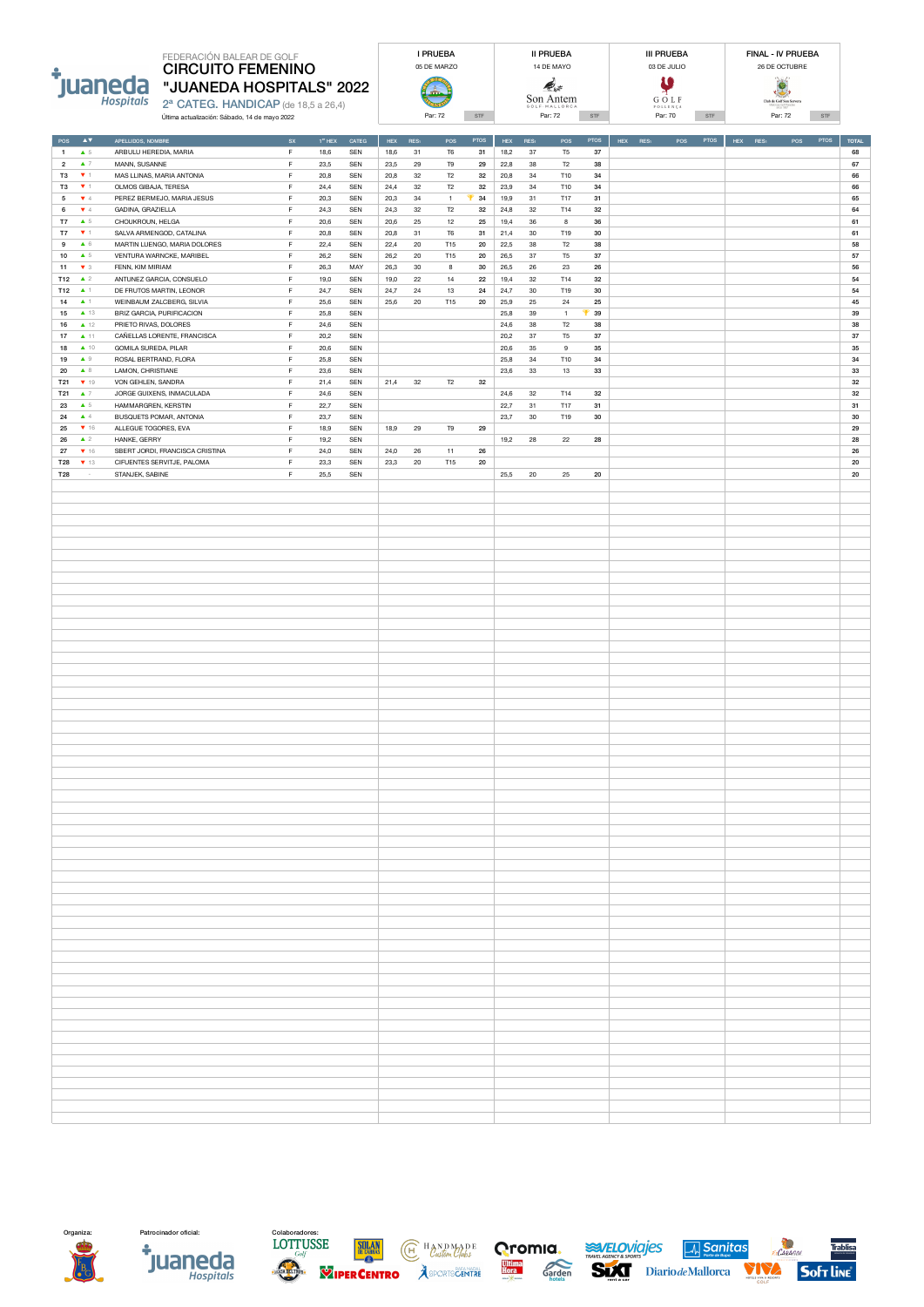

#### FEDERACIÓN BALEAR DE GOLF CIRCUITO FEMENINO "JUANEDA HOSPITALS" 2022 2<sup>ª</sup> CATEG. HANDICAP (de 18,5 a 26,4)

Última actualización: Sábado, 14 de mayo 2022









| POS<br>$\mathbf{A}\mathbf{V}$        | APELLIDOS, NOMBRE               | ${\sf sx}$  | $1^{\rm cr}$ HEX | CATEG | HEX  | RES <sub>1</sub> | POS            | PTOS           |      | $HEX$ RES <sub>1</sub> | POS              | <b>PTOS</b> | $HEX$ RES <sub>1</sub> | <b>PTOS</b><br>POS | $HEX$ RES <sub>1</sub> | <b>PTOS</b><br>POS | <b>TOTAL</b> |
|--------------------------------------|---------------------------------|-------------|------------------|-------|------|------------------|----------------|----------------|------|------------------------|------------------|-------------|------------------------|--------------------|------------------------|--------------------|--------------|
| $\blacktriangle$ 5<br>$\mathbf{1}$   | ARBULU HEREDIA, MARIA           | F           | 18,6             | SEN   | 18,6 | 31               | T <sub>6</sub> | 31             | 18,2 | 37                     | T <sub>5</sub>   | 37          |                        |                    |                        |                    | 68           |
| $\overline{2}$<br>$\blacktriangle$ 7 | MANN, SUSANNE                   | $\mathsf F$ | 23,5             | SEN   | 23,5 | 29               | T9             | 29             | 22,8 | $38\,$                 | $\mathsf{T}2$    | 38          |                        |                    |                        |                    | 67           |
| $\Psi$ 1<br>T3                       | MAS LLINAS, MARIA ANTONIA       | $\mathsf F$ | 20,8             | SEN   | 20,8 | 32               | T2             | $32\,$         | 20,8 | $34\,$                 | T10              | $34\,$      |                        |                    |                        |                    | 66           |
| T3<br>71                             | OLMOS GIBAJA, TERESA            | F           | 24,4             | SEN   | 24,4 | 32               | T2             | $32\,$         | 23,9 | $34\,$                 | T10              | $34\,$      |                        |                    |                        |                    | 66           |
| $\Psi$ 4<br>$\,$ 5 $\,$              | PEREZ BERMEJO, MARIA JESUS      | F           | 20,3             | SEN   | 20,3 | 34               | $\,$ 1 $\,$    | $4^{\circ}$ 34 | 19,9 | 31                     | T17              | 31          |                        |                    |                        |                    | 65           |
| $\Psi$ 4<br>$\,$ 6 $\,$              | GADINA, GRAZIELLA               | $\mathsf F$ | 24,3             | SEN   | 24,3 | $32\,$           | T <sub>2</sub> | $32\,$         | 24,8 | 32                     | T14              | 32          |                        |                    |                        |                    | 64           |
| $\mathsf{T}7$<br>$\triangle$ 5       | CHOUKROUN, HELGA                | F           | 20,6             | SEN   | 20,6 | $\bf 25$         | $12 \,$        | $25\,$         | 19,4 | $36\,$                 | 8                | $36\,$      |                        |                    |                        |                    | 61           |
| T7<br>T                              | SALVA ARMENGOD, CATALINA        | $\mathsf F$ | 20,8             | SEN   | 20,8 | 31               | ${\tt T6}$     | 31             | 21,4 | 30                     | T19              | $30\,$      |                        |                    |                        |                    | 61           |
| 9<br>$\triangle$ 6                   | MARTIN LUENGO, MARIA DOLORES    | $\mathsf F$ | 22,4             | SEN   | 22,4 | 20               | T15            | 20             | 22,5 | $_{38}$                | $\mathsf{T}2$    | $38\,$      |                        |                    |                        |                    | 58           |
| $\triangle$ 5<br>10                  | VENTURA WARNCKE, MARIBEL        | $\mathsf F$ | 26,2             | SEN   | 26,2 | 20               | T15            | $20\,$         | 26,5 | $37\,$                 | T <sub>5</sub>   | $37\,$      |                        |                    |                        |                    | 57           |
| $\blacktriangledown$ 3<br>11         | FENN, KIM MIRIAM                | F           | 26,3             | MAY   | 26,3 | $30\,$           | 8              | $30\,$         | 26,5 | 26                     | $23\,$           | 26          |                        |                    |                        |                    | 56           |
| T12<br>$\triangle$ 2                 | ANTUNEZ GARCIA, CONSUELO        | $\mathsf F$ |                  |       | 19,0 | 22               |                | $22\,$         | 19,4 | 32                     | T14              | $32\,$      |                        |                    |                        |                    | 54           |
|                                      |                                 |             | 19,0             | SEN   |      |                  | 14             |                |      |                        |                  |             |                        |                    |                        |                    |              |
| T12<br>$\blacktriangle$ 1            | DE FRUTOS MARTIN, LEONOR        | $\mathsf F$ | 24,7             | SEN   | 24,7 | 24               | 13             | ${\bf 24}$     | 24,7 | 30                     | T19              | 30          |                        |                    |                        |                    | 54           |
| 14<br>$\blacktriangle$ 1             | WEINBAUM ZALCBERG, SILVIA       | $\mathsf F$ | 25,6             | SEN   | 25,6 | 20               | T15            | 20             | 25,9 | 25                     | 24               | 25          |                        |                    |                        |                    | 45           |
| 15<br>$\blacktriangle$ 13            | BRIZ GARCIA, PURIFICACION       | $\mathsf F$ | 25,8             | SEN   |      |                  |                |                | 25,8 | 39                     | 1                | 39          |                        |                    |                        |                    | 39           |
| 16<br>$\blacktriangle$ 12            | PRIETO RIVAS, DOLORES           | $\mathsf F$ | 24,6             | SEN   |      |                  |                |                | 24,6 | 38                     | T2               | 38          |                        |                    |                        |                    | 38           |
| $17$<br>$\blacktriangle$ 11          | CAÑELLAS LORENTE, FRANCISCA     | F           | 20,2             | SEN   |      |                  |                |                | 20,2 | $37\,$                 | T <sub>5</sub>   | $37\,$      |                        |                    |                        |                    | 37           |
| 18<br>$\triangle$ 10                 | GOMILA SUREDA, PILAR            | $\mathsf F$ | 20,6             | SEN   |      |                  |                |                | 20,6 | $35\,$                 | $\boldsymbol{9}$ | 35          |                        |                    |                        |                    | 35           |
| 19<br>$\blacktriangle$ 9             | ROSAL BERTRAND, FLORA           | $\mathsf F$ | 25,8             | SEN   |      |                  |                |                | 25,8 | $34\,$                 | T10              | 34          |                        |                    |                        |                    | $34\,$       |
| $20\,$<br>$\blacktriangle$ 8         | LAMON, CHRISTIANE               | $\mathsf F$ | 23,6             | SEN   |      |                  |                |                | 23,6 | $33\,$                 | 13               | 33          |                        |                    |                        |                    | 33           |
| 719<br>T21                           | VON GEHLEN, SANDRA              | $\mathsf F$ | 21,4             | SEN   | 21,4 | $32\,$           | T2             | $_{\rm 32}$    |      |                        |                  |             |                        |                    |                        |                    | $_{\rm 32}$  |
|                                      |                                 |             |                  |       |      |                  |                |                |      |                        |                  |             |                        |                    |                        |                    |              |
| $\blacktriangle$ 7<br>T21            | JORGE GUIXENS, INMACULADA       | $\mathsf F$ | 24,6             | SEN   |      |                  |                |                | 24,6 | $32\,$                 | T14              | 32          |                        |                    |                        |                    | $_{\rm 32}$  |
| $\triangle$ 5<br>23                  | HAMMARGREN, KERSTIN             | $\mathsf F$ | 22,7             | SEN   |      |                  |                |                | 22,7 | 31                     | T17              | 31          |                        |                    |                        |                    | $31\,$       |
| $\blacktriangle$ 4<br>${\bf 24}$     | BUSQUETS POMAR, ANTONIA         | $\mathsf F$ | 23,7             | SEN   |      |                  |                |                | 23,7 | $30\,$                 | T19              | $30\,$      |                        |                    |                        |                    | 30           |
| 25<br>7 16                           | ALLEGUE TOGORES, EVA            | $\mathsf F$ | 18,9             | SEN   | 18,9 | 29               | T9             | 29             |      |                        |                  |             |                        |                    |                        |                    | 29           |
| $\triangle$ 2<br>26                  | HANKE, GERRY                    | F           | 19,2             | SEN   |      |                  |                |                | 19,2 | 28                     | $22\,$           | 28          |                        |                    |                        |                    | 28           |
| 76<br>27                             | SBERT JORDI, FRANCISCA CRISTINA | $\mathsf F$ | 24,0             | SEN   | 24,0 | 26               | 11             | 26             |      |                        |                  |             |                        |                    |                        |                    | 26           |
| 713<br><b>T28</b>                    | CIFUENTES SERVITJE, PALOMA      | $\mathsf F$ | 23,3             | SEN   | 23,3 | 20               | T15            | $20\,$         |      |                        |                  |             |                        |                    |                        |                    | 20           |
| <b>T28</b><br>$\sim$                 | STANJEK, SABINE                 | F           | 25,5             | SEN   |      |                  |                |                | 25,5 | 20                     | 25               | 20          |                        |                    |                        |                    | 20           |
|                                      |                                 |             |                  |       |      |                  |                |                |      |                        |                  |             |                        |                    |                        |                    |              |
|                                      |                                 |             |                  |       |      |                  |                |                |      |                        |                  |             |                        |                    |                        |                    |              |
|                                      |                                 |             |                  |       |      |                  |                |                |      |                        |                  |             |                        |                    |                        |                    |              |
|                                      |                                 |             |                  |       |      |                  |                |                |      |                        |                  |             |                        |                    |                        |                    |              |
|                                      |                                 |             |                  |       |      |                  |                |                |      |                        |                  |             |                        |                    |                        |                    |              |
|                                      |                                 |             |                  |       |      |                  |                |                |      |                        |                  |             |                        |                    |                        |                    |              |
|                                      |                                 |             |                  |       |      |                  |                |                |      |                        |                  |             |                        |                    |                        |                    |              |
|                                      |                                 |             |                  |       |      |                  |                |                |      |                        |                  |             |                        |                    |                        |                    |              |
|                                      |                                 |             |                  |       |      |                  |                |                |      |                        |                  |             |                        |                    |                        |                    |              |
|                                      |                                 |             |                  |       |      |                  |                |                |      |                        |                  |             |                        |                    |                        |                    |              |
|                                      |                                 |             |                  |       |      |                  |                |                |      |                        |                  |             |                        |                    |                        |                    |              |
|                                      |                                 |             |                  |       |      |                  |                |                |      |                        |                  |             |                        |                    |                        |                    |              |
|                                      |                                 |             |                  |       |      |                  |                |                |      |                        |                  |             |                        |                    |                        |                    |              |
|                                      |                                 |             |                  |       |      |                  |                |                |      |                        |                  |             |                        |                    |                        |                    |              |
|                                      |                                 |             |                  |       |      |                  |                |                |      |                        |                  |             |                        |                    |                        |                    |              |
|                                      |                                 |             |                  |       |      |                  |                |                |      |                        |                  |             |                        |                    |                        |                    |              |
|                                      |                                 |             |                  |       |      |                  |                |                |      |                        |                  |             |                        |                    |                        |                    |              |
|                                      |                                 |             |                  |       |      |                  |                |                |      |                        |                  |             |                        |                    |                        |                    |              |
|                                      |                                 |             |                  |       |      |                  |                |                |      |                        |                  |             |                        |                    |                        |                    |              |
|                                      |                                 |             |                  |       |      |                  |                |                |      |                        |                  |             |                        |                    |                        |                    |              |
|                                      |                                 |             |                  |       |      |                  |                |                |      |                        |                  |             |                        |                    |                        |                    |              |
|                                      |                                 |             |                  |       |      |                  |                |                |      |                        |                  |             |                        |                    |                        |                    |              |
|                                      |                                 |             |                  |       |      |                  |                |                |      |                        |                  |             |                        |                    |                        |                    |              |
|                                      |                                 |             |                  |       |      |                  |                |                |      |                        |                  |             |                        |                    |                        |                    |              |
|                                      |                                 |             |                  |       |      |                  |                |                |      |                        |                  |             |                        |                    |                        |                    |              |
|                                      |                                 |             |                  |       |      |                  |                |                |      |                        |                  |             |                        |                    |                        |                    |              |
|                                      |                                 |             |                  |       |      |                  |                |                |      |                        |                  |             |                        |                    |                        |                    |              |
|                                      |                                 |             |                  |       |      |                  |                |                |      |                        |                  |             |                        |                    |                        |                    |              |
|                                      |                                 |             |                  |       |      |                  |                |                |      |                        |                  |             |                        |                    |                        |                    |              |
|                                      |                                 |             |                  |       |      |                  |                |                |      |                        |                  |             |                        |                    |                        |                    |              |
|                                      |                                 |             |                  |       |      |                  |                |                |      |                        |                  |             |                        |                    |                        |                    |              |
|                                      |                                 |             |                  |       |      |                  |                |                |      |                        |                  |             |                        |                    |                        |                    |              |
|                                      |                                 |             |                  |       |      |                  |                |                |      |                        |                  |             |                        |                    |                        |                    |              |
|                                      |                                 |             |                  |       |      |                  |                |                |      |                        |                  |             |                        |                    |                        |                    |              |
|                                      |                                 |             |                  |       |      |                  |                |                |      |                        |                  |             |                        |                    |                        |                    |              |
|                                      |                                 |             |                  |       |      |                  |                |                |      |                        |                  |             |                        |                    |                        |                    |              |
|                                      |                                 |             |                  |       |      |                  |                |                |      |                        |                  |             |                        |                    |                        |                    |              |
|                                      |                                 |             |                  |       |      |                  |                |                |      |                        |                  |             |                        |                    |                        |                    |              |
|                                      |                                 |             |                  |       |      |                  |                |                |      |                        |                  |             |                        |                    |                        |                    |              |
|                                      |                                 |             |                  |       |      |                  |                |                |      |                        |                  |             |                        |                    |                        |                    |              |
|                                      |                                 |             |                  |       |      |                  |                |                |      |                        |                  |             |                        |                    |                        |                    |              |
|                                      |                                 |             |                  |       |      |                  |                |                |      |                        |                  |             |                        |                    |                        |                    |              |
|                                      |                                 |             |                  |       |      |                  |                |                |      |                        |                  |             |                        |                    |                        |                    |              |
|                                      |                                 |             |                  |       |      |                  |                |                |      |                        |                  |             |                        |                    |                        |                    |              |
|                                      |                                 |             |                  |       |      |                  |                |                |      |                        |                  |             |                        |                    |                        |                    |              |
|                                      |                                 |             |                  |       |      |                  |                |                |      |                        |                  |             |                        |                    |                        |                    |              |
|                                      |                                 |             |                  |       |      |                  |                |                |      |                        |                  |             |                        |                    |                        |                    |              |
|                                      |                                 |             |                  |       |      |                  |                |                |      |                        |                  |             |                        |                    |                        |                    |              |
|                                      |                                 |             |                  |       |      |                  |                |                |      |                        |                  |             |                        |                    |                        |                    |              |
|                                      |                                 |             |                  |       |      |                  |                |                |      |                        |                  |             |                        |                    |                        |                    |              |
|                                      |                                 |             |                  |       |      |                  |                |                |      |                        |                  |             |                        |                    |                        |                    |              |
|                                      |                                 |             |                  |       |      |                  |                |                |      |                        |                  |             |                        |                    |                        |                    |              |
|                                      |                                 |             |                  |       |      |                  |                |                |      |                        |                  |             |                        |                    |                        |                    |              |
|                                      |                                 |             |                  |       |      |                  |                |                |      |                        |                  |             |                        |                    |                        |                    |              |
|                                      |                                 |             |                  |       |      |                  |                |                |      |                        |                  |             |                        |                    |                        |                    |              |
|                                      |                                 |             |                  |       |      |                  |                |                |      |                        |                  |             |                        |                    |                        |                    |              |
|                                      |                                 |             |                  |       |      |                  |                |                |      |                        |                  |             |                        |                    |                        |                    |              |
|                                      |                                 |             |                  |       |      |                  |                |                |      |                        |                  |             |                        |                    |                        |                    |              |
|                                      |                                 |             |                  |       |      |                  |                |                |      |                        |                  |             |                        |                    |                        |                    |              |
|                                      |                                 |             |                  |       |      |                  |                |                |      |                        |                  |             |                        |                    |                        |                    |              |
|                                      |                                 |             |                  |       |      |                  |                |                |      |                        |                  |             |                        |                    |                        |                    |              |
|                                      |                                 |             |                  |       |      |                  |                |                |      |                        |                  |             |                        |                    |                        |                    |              |
|                                      |                                 |             |                  |       |      |                  |                |                |      |                        |                  |             |                        |                    |                        |                    |              |











 $E_{\text{CARAGOL}}$ 

**Trablisa** 

**Soft Line** 

 $\Box$  Sanitas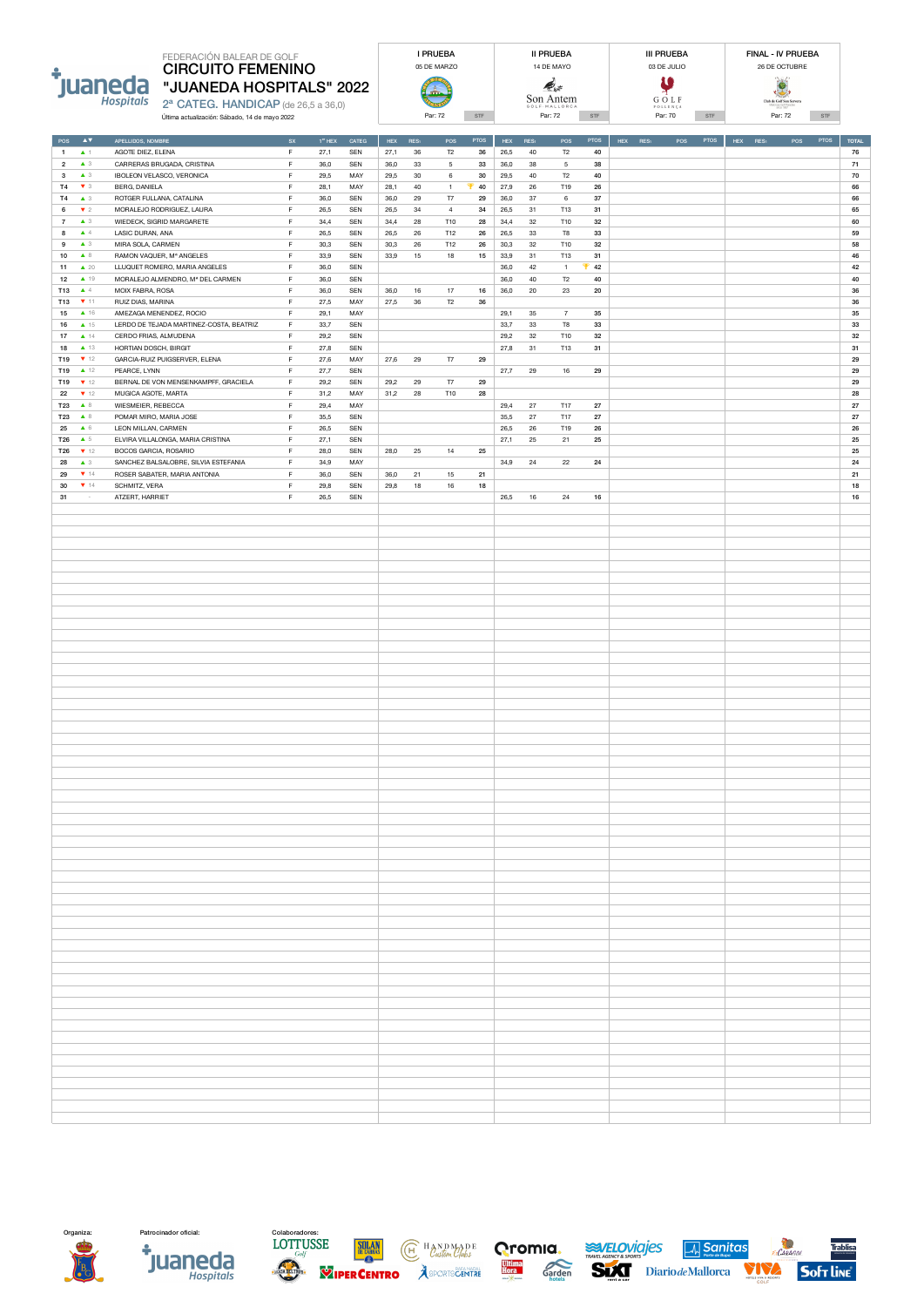

### CIRCUITO FEMENINO "JUANEDA HOSPITALS" 2022 2ª CATEG. HANDICAP (de 26,5 a 36,0) FEDERACIÓN BALEAR DE GOLF **International de la primal** international international international international in<br>International international international international international international international internatio

Última actualización: Sábado, 14 de mayo 2022 Par: 72 STF Par: 72 STF Par: 70 STF Par: 72 STF









 $E_{\text{CARAGOL}}$ 

**Trablisa** 

**Soft Line** 

 $\Box$  Sanitas

| $\Delta \nabla$<br>POS                   | APELLIDOS, NOMBRE                       | sx          | $1^{\rm cr}$ HEX | CATEG | <b>HEX</b> | RES <sub>1</sub> | POS           | <b>PTOS</b>  | $HEX$ RES <sub>1</sub> |               | POS            | <b>PTOS</b> | $HEX = RES1$<br>POS PTOS | $HEX = RES1$<br>POS PTOS | <b>TOTAL</b> |
|------------------------------------------|-----------------------------------------|-------------|------------------|-------|------------|------------------|---------------|--------------|------------------------|---------------|----------------|-------------|--------------------------|--------------------------|--------------|
|                                          |                                         |             |                  |       |            |                  |               |              |                        |               |                |             |                          |                          |              |
| $\blacktriangle$ 1<br>$\mathbf{1}$       | AGOTE DIEZ, ELENA                       | F           | 27,1             | SEN   | 27,1       | $36\,$           | $\mathsf{T}2$ | $36\,$       | 26,5                   | $40\,$        | $\mathsf{T}2$  | 40          |                          |                          | 76           |
| $\triangle$ 3<br>$\overline{2}$          | CARRERAS BRUGADA, CRISTINA              | $\mathsf F$ | 36,0             | SEN   | 36,0       | $33\,$           | $\mathbf 5$   | $33\,$       | 36,0                   | $38\,$        | $\mathbf 5$    | $38\,$      |                          |                          | $71$         |
| $\triangle$ 3<br>$\mathbf{3}$            | IBOLEON VELASCO, VERONICA               | $\mathsf F$ | 29,5             | MAY   | 29,5       | $30\,$           | $\,6\,$       | $30\,$       | 29,5                   | 40            | T2             | 40          |                          |                          | 70           |
| T <sub>4</sub><br>$\blacktriangledown$ 3 | BERG, DANIELA                           | F           | 28,1             | MAY   | 28,1       | $40\,$           | $\mathbf{1}$  | $\bullet$ 40 | 27,9                   | 26            | T19            | ${\bf 26}$  |                          |                          | 66           |
| T4<br>$\triangle$ 3                      | ROTGER FULLANA, CATALINA                | F           | 36,0             | SEN   | 36,0       | 29               | T7            | 29           | 36,0                   | 37            | 6              | 37          |                          |                          | 66           |
| 6<br>72                                  | MORALEJO RODRIGUEZ, LAURA               | F           | 26,5             | SEN   | 26,5       | 34               | $\sqrt{4}$    | 34           | 26,5                   | 31            | T13            | 31          |                          |                          | 65           |
| $\overline{7}$<br>$\blacktriangle$ 3     | WIEDECK, SIGRID MARGARETE               | $\mathsf F$ | 34,4             | SEN   | 34,4       | 28               | T10           | 28           | 34,4                   | 32            | T10            | 32          |                          |                          | 60           |
| 8<br>$\blacktriangle$ 4                  | LASIC DURAN, ANA                        | $\mathsf F$ | 26,5             | SEN   | 26,5       | 26               | T12           | 26           | 26,5                   | 33            | T8             | 33          |                          |                          | 59           |
| 9<br>$\triangle$ 3                       | MIRA SOLA, CARMEN                       | $\mathsf F$ | 30,3             | SEN   | 30,3       | ${\bf 26}$       | T12           | ${\bf 26}$   | 30,3                   | $32\,$        | T10            | $32\,$      |                          |                          | 58           |
| $10$<br>$\blacktriangle$ 8               | RAMON VAQUER, Mª ANGELES                | $\mathsf F$ | 33,9             | SEN   | 33,9       | $15\,$           | 18            | $15\,$       | 33,9                   | 31            | T13            | 31          |                          |                          | 46           |
| $\triangle$ 20<br>11                     | LLUQUET ROMERO, MARIA ANGELES           | $\mathsf F$ | 36,0             | SEN   |            |                  |               |              | 36,0                   | $42\,$        | $\mathbf{1}$   | 42          |                          |                          | 42           |
| $\blacktriangle$ 19<br>12                | MORALEJO ALMENDRO, Mª DEL CARMEN        | $\mathsf F$ | 36,0             | SEN   |            |                  |               |              | 36,0                   | $40\,$        | $\mathsf{T}2$  | 40          |                          |                          | 40           |
| T13<br>$\blacktriangle$ 4                | MOIX FABRA, ROSA                        | $\mathsf F$ | 36,0             | SEN   | 36,0       | 16               | $17\,$        | $16\,$       | 36,0                   | $20\,$        | $\bf 23$       | $20\,$      |                          |                          | 36           |
|                                          |                                         |             |                  |       |            |                  |               |              |                        |               |                |             |                          |                          |              |
| 711<br>T13                               | RUIZ DIAS, MARINA                       | $\mathsf F$ | 27,5             | MAY   | 27,5       | $36\,$           | $\mathsf{T}2$ | $36\,$       |                        |               |                |             |                          |                          | 36           |
| $\triangle$ 16<br>15                     | AMEZAGA MENENDEZ, ROCIO                 | $\mathsf F$ | 29,1             | MAY   |            |                  |               |              | 29,1                   | 35            | $\overline{7}$ | 35          |                          |                          | 35           |
| $\blacktriangle$ 15<br>16                | LERDO DE TEJADA MARTINEZ-COSTA, BEATRIZ | F           | 33,7             | SEN   |            |                  |               |              | 33,7                   | $33\,$        | T8             | 33          |                          |                          | 33           |
| 17<br>$\blacktriangle$ 14                | CERDO FRIAS, ALMUDENA                   | F           | 29,2             | SEN   |            |                  |               |              | 29,2                   | $32\,$        | T10            | $32\,$      |                          |                          | 32           |
| $\blacktriangle$ 13<br>18                | HORTIAN DOSCH, BIRGIT                   | $\mathsf F$ | 27,8             | SEN   |            |                  |               |              | 27,8                   | 31            | T13            | 31          |                          |                          | 31           |
| T19<br>712                               | GARCIA-RUIZ PUIGSERVER, ELENA           | $\mathsf F$ | 27,6             | MAY   | 27,6       | 29               | T7            | 29           |                        |               |                |             |                          |                          | 29           |
|                                          |                                         |             |                  |       |            |                  |               |              |                        |               |                |             |                          |                          |              |
| $\blacktriangle$ 12<br>T19               | PEARCE, LYNN                            | F           | 27,7             | SEN   |            |                  |               |              | 27,7                   | 29            | 16             | 29          |                          |                          | 29           |
| T19<br>712                               | BERNAL DE VON MENSENKAMPFF, GRACIELA    | F           | 29,2             | SEN   | 29,2       | 29               | T7            | 29           |                        |               |                |             |                          |                          | 29           |
| 712<br>22                                | MUGICA AGOTE, MARTA                     | $\mathsf F$ | 31,2             | MAY   | 31,2       | 28               | T10           | 28           |                        |               |                |             |                          |                          | 28           |
| T23<br>$\blacktriangle$ 8                | WIESMEIER, REBECCA                      | $\mathsf F$ | 29,4             | MAY   |            |                  |               |              | 29,4                   | 27            | T17            | 27          |                          |                          | 27           |
| T23<br>$\blacktriangle$ 8                | POMAR MIRO, MARIA JOSE                  | $\mathsf F$ | 35,5             | SEN   |            |                  |               |              | 35,5                   | 27            | T17            | 27          |                          |                          | 27           |
| 25<br>$\triangle$ 6                      | LEON MILLAN, CARMEN                     | $\mathsf F$ | 26,5             | SEN   |            |                  |               |              | 26,5                   | ${\bf 26}$    | T19            | ${\bf 26}$  |                          |                          | 26           |
| T26<br>$\triangle$ 5                     | ELVIRA VILLALONGA, MARIA CRISTINA       | $\mathsf F$ | 27,1             | SEN   |            |                  |               |              | 27,1                   | $25\,$        | 21             | 25          |                          |                          | 25           |
| 712<br>T26                               | BOCOS GARCIA, ROSARIO                   | $\mathsf F$ | 28,0             | SEN   | 28,0       | 25               |               | ${\bf 25}$   |                        |               |                |             |                          |                          | 25           |
|                                          |                                         |             |                  |       |            |                  | 14            |              |                        |               |                |             |                          |                          |              |
| $\blacktriangle$ 3<br>28                 | SANCHEZ BALSALOBRE, SILVIA ESTEFANIA    | $\mathsf F$ | 34,9             | MAY   |            |                  |               |              | 34,9                   | $\mathbf{24}$ | $22\,$         | ${\bf 24}$  |                          |                          | 24           |
| 74<br>29                                 | ROSER SABATER, MARIA ANTONIA            | $\mathsf F$ | 36,0             | SEN   | 36,0       | 21               | 15            | 21           |                        |               |                |             |                          |                          | $21\,$       |
| 74<br>$30\,$                             | SCHMITZ, VERA                           | F           | 29,8             | SEN   | 29,8       | $18\,$           | 16            | 18           |                        |               |                |             |                          |                          | 18           |
| 31<br>$\sim$                             | ATZERT, HARRIET                         | $\mathsf F$ | 26,5             | SEN   |            |                  |               |              | 26,5                   | 16            | ${\bf 24}$     | 16          |                          |                          | ${\bf 16}$   |
|                                          |                                         |             |                  |       |            |                  |               |              |                        |               |                |             |                          |                          |              |
|                                          |                                         |             |                  |       |            |                  |               |              |                        |               |                |             |                          |                          |              |
|                                          |                                         |             |                  |       |            |                  |               |              |                        |               |                |             |                          |                          |              |
|                                          |                                         |             |                  |       |            |                  |               |              |                        |               |                |             |                          |                          |              |
|                                          |                                         |             |                  |       |            |                  |               |              |                        |               |                |             |                          |                          |              |
|                                          |                                         |             |                  |       |            |                  |               |              |                        |               |                |             |                          |                          |              |
|                                          |                                         |             |                  |       |            |                  |               |              |                        |               |                |             |                          |                          |              |
|                                          |                                         |             |                  |       |            |                  |               |              |                        |               |                |             |                          |                          |              |
|                                          |                                         |             |                  |       |            |                  |               |              |                        |               |                |             |                          |                          |              |
|                                          |                                         |             |                  |       |            |                  |               |              |                        |               |                |             |                          |                          |              |
|                                          |                                         |             |                  |       |            |                  |               |              |                        |               |                |             |                          |                          |              |
|                                          |                                         |             |                  |       |            |                  |               |              |                        |               |                |             |                          |                          |              |
|                                          |                                         |             |                  |       |            |                  |               |              |                        |               |                |             |                          |                          |              |
|                                          |                                         |             |                  |       |            |                  |               |              |                        |               |                |             |                          |                          |              |
|                                          |                                         |             |                  |       |            |                  |               |              |                        |               |                |             |                          |                          |              |
|                                          |                                         |             |                  |       |            |                  |               |              |                        |               |                |             |                          |                          |              |
|                                          |                                         |             |                  |       |            |                  |               |              |                        |               |                |             |                          |                          |              |
|                                          |                                         |             |                  |       |            |                  |               |              |                        |               |                |             |                          |                          |              |
|                                          |                                         |             |                  |       |            |                  |               |              |                        |               |                |             |                          |                          |              |
|                                          |                                         |             |                  |       |            |                  |               |              |                        |               |                |             |                          |                          |              |
|                                          |                                         |             |                  |       |            |                  |               |              |                        |               |                |             |                          |                          |              |
|                                          |                                         |             |                  |       |            |                  |               |              |                        |               |                |             |                          |                          |              |
|                                          |                                         |             |                  |       |            |                  |               |              |                        |               |                |             |                          |                          |              |
|                                          |                                         |             |                  |       |            |                  |               |              |                        |               |                |             |                          |                          |              |
|                                          |                                         |             |                  |       |            |                  |               |              |                        |               |                |             |                          |                          |              |
|                                          |                                         |             |                  |       |            |                  |               |              |                        |               |                |             |                          |                          |              |
|                                          |                                         |             |                  |       |            |                  |               |              |                        |               |                |             |                          |                          |              |
|                                          |                                         |             |                  |       |            |                  |               |              |                        |               |                |             |                          |                          |              |
|                                          |                                         |             |                  |       |            |                  |               |              |                        |               |                |             |                          |                          |              |
|                                          |                                         |             |                  |       |            |                  |               |              |                        |               |                |             |                          |                          |              |
|                                          |                                         |             |                  |       |            |                  |               |              |                        |               |                |             |                          |                          |              |
|                                          |                                         |             |                  |       |            |                  |               |              |                        |               |                |             |                          |                          |              |
|                                          |                                         |             |                  |       |            |                  |               |              |                        |               |                |             |                          |                          |              |
|                                          |                                         |             |                  |       |            |                  |               |              |                        |               |                |             |                          |                          |              |
|                                          |                                         |             |                  |       |            |                  |               |              |                        |               |                |             |                          |                          |              |
|                                          |                                         |             |                  |       |            |                  |               |              |                        |               |                |             |                          |                          |              |
|                                          |                                         |             |                  |       |            |                  |               |              |                        |               |                |             |                          |                          |              |
|                                          |                                         |             |                  |       |            |                  |               |              |                        |               |                |             |                          |                          |              |
|                                          |                                         |             |                  |       |            |                  |               |              |                        |               |                |             |                          |                          |              |
|                                          |                                         |             |                  |       |            |                  |               |              |                        |               |                |             |                          |                          |              |
|                                          |                                         |             |                  |       |            |                  |               |              |                        |               |                |             |                          |                          |              |
|                                          |                                         |             |                  |       |            |                  |               |              |                        |               |                |             |                          |                          |              |
|                                          |                                         |             |                  |       |            |                  |               |              |                        |               |                |             |                          |                          |              |
|                                          |                                         |             |                  |       |            |                  |               |              |                        |               |                |             |                          |                          |              |
|                                          |                                         |             |                  |       |            |                  |               |              |                        |               |                |             |                          |                          |              |
|                                          |                                         |             |                  |       |            |                  |               |              |                        |               |                |             |                          |                          |              |
|                                          |                                         |             |                  |       |            |                  |               |              |                        |               |                |             |                          |                          |              |
|                                          |                                         |             |                  |       |            |                  |               |              |                        |               |                |             |                          |                          |              |
|                                          |                                         |             |                  |       |            |                  |               |              |                        |               |                |             |                          |                          |              |
|                                          |                                         |             |                  |       |            |                  |               |              |                        |               |                |             |                          |                          |              |
|                                          |                                         |             |                  |       |            |                  |               |              |                        |               |                |             |                          |                          |              |
|                                          |                                         |             |                  |       |            |                  |               |              |                        |               |                |             |                          |                          |              |
|                                          |                                         |             |                  |       |            |                  |               |              |                        |               |                |             |                          |                          |              |
|                                          |                                         |             |                  |       |            |                  |               |              |                        |               |                |             |                          |                          |              |
|                                          |                                         |             |                  |       |            |                  |               |              |                        |               |                |             |                          |                          |              |
|                                          |                                         |             |                  |       |            |                  |               |              |                        |               |                |             |                          |                          |              |
|                                          |                                         |             |                  |       |            |                  |               |              |                        |               |                |             |                          |                          |              |
|                                          |                                         |             |                  |       |            |                  |               |              |                        |               |                |             |                          |                          |              |
|                                          |                                         |             |                  |       |            |                  |               |              |                        |               |                |             |                          |                          |              |
|                                          |                                         |             |                  |       |            |                  |               |              |                        |               |                |             |                          |                          |              |
|                                          |                                         |             |                  |       |            |                  |               |              |                        |               |                |             |                          |                          |              |
|                                          |                                         |             |                  |       |            |                  |               |              |                        |               |                |             |                          |                          |              |